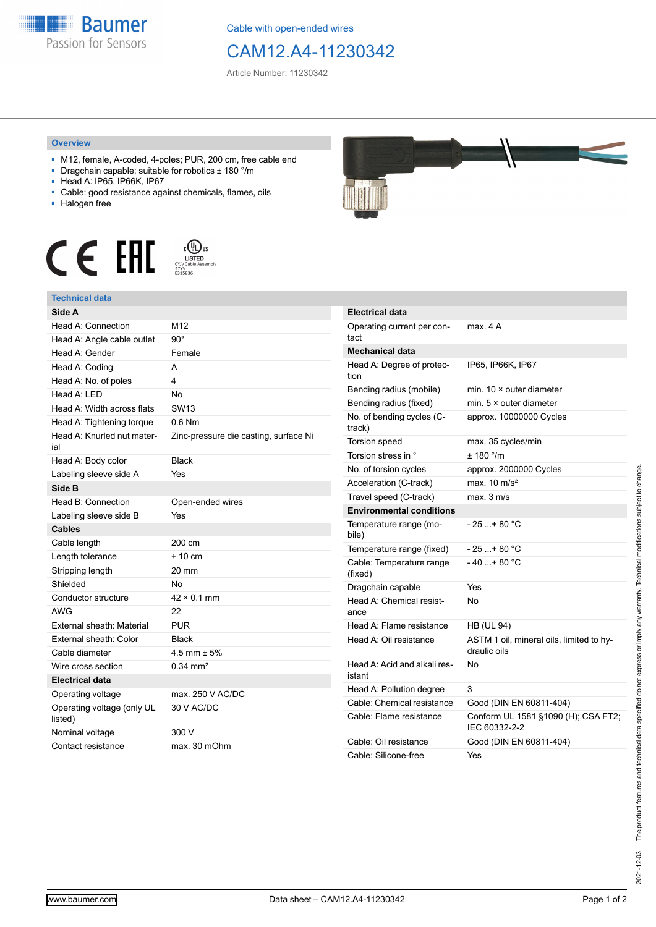

Cable with open-ended wires

## CAM12.A4-11230342

Article Number: 11230342

## **Overview**

- M12, female, A-coded, 4-poles; PUR, 200 cm, free cable end
- Dragchain capable; suitable for robotics ± 180 °/m
- Head A: IP65, IP66K, IP67
- Cable: good resistance against chemicals, flames, oils
- Halogen free





| <b>Technical data</b>                 |                                       |
|---------------------------------------|---------------------------------------|
| Side A                                |                                       |
| Head A: Connection                    | M12                                   |
| Head A: Angle cable outlet            | $90^{\circ}$                          |
| Head A: Gender                        | Female                                |
| Head A: Coding                        | A                                     |
| Head A: No. of poles                  | 4                                     |
| Head A: LED                           | <b>No</b>                             |
| Head A: Width across flats            | <b>SW13</b>                           |
| Head A: Tightening torque             | $0.6$ Nm                              |
| Head A: Knurled nut mater-<br>ial     | Zinc-pressure die casting, surface Ni |
| Head A: Body color                    | <b>Black</b>                          |
| Labeling sleeve side A                | Yes                                   |
| Side B                                |                                       |
| Head B: Connection                    | Open-ended wires                      |
| Labeling sleeve side B                | Yes                                   |
| <b>Cables</b>                         |                                       |
| Cable length                          | 200 cm                                |
| Length tolerance                      | $+10 \text{ cm}$                      |
| Stripping length                      | 20 mm                                 |
| Shielded                              | No                                    |
| Conductor structure                   | $42 \times 0.1$ mm                    |
| <b>AWG</b>                            | 22                                    |
| External sheath: Material             | <b>PUR</b>                            |
| External sheath: Color                | <b>Black</b>                          |
| Cable diameter                        | 4.5 mm $\pm$ 5%                       |
| Wire cross section                    | $0.34$ mm <sup>2</sup>                |
| <b>Electrical data</b>                |                                       |
| Operating voltage                     | max. 250 V AC/DC                      |
| Operating voltage (only UL<br>listed) | 30 V AC/DC                            |



| <b>Electrical data</b>                 |                                                          |
|----------------------------------------|----------------------------------------------------------|
| Operating current per con-<br>tact     | max. 4 A                                                 |
| <b>Mechanical data</b>                 |                                                          |
| Head A: Degree of protec-<br>tion      | IP65, IP66K, IP67                                        |
| Bending radius (mobile)                | min. $10 \times$ outer diameter                          |
| Bending radius (fixed)                 | min. $5 \times$ outer diameter                           |
| No. of bending cycles (C-<br>track)    | approx. 10000000 Cycles                                  |
| Torsion speed                          | max. 35 cycles/min                                       |
| Torsion stress in °                    | ± 180 °/m                                                |
| No. of torsion cycles                  | approx. 2000000 Cycles                                   |
| Acceleration (C-track)                 | max. $10 \text{ m/s}^2$                                  |
| Travel speed (C-track)                 | max. 3 m/s                                               |
| <b>Environmental conditions</b>        |                                                          |
| Temperature range (mo-<br>bile)        | - 25 + 80 °C                                             |
| Temperature range (fixed)              | - 25 +80 °C                                              |
| Cable: Temperature range<br>(fixed)    | - 40 + 80 °C                                             |
| Dragchain capable                      | Yes                                                      |
| Head A: Chemical resist-<br>ance       | No                                                       |
| Head A: Flame resistance               | <b>HB (UL 94)</b>                                        |
| Head A: Oil resistance                 | ASTM 1 oil, mineral oils, limited to hy-<br>draulic oils |
| Head A: Acid and alkali res-<br>istant | No                                                       |
| Head A: Pollution degree               | 3                                                        |
| Cable: Chemical resistance             | Good (DIN EN 60811-404)                                  |
| Cable: Flame resistance                | Conform UL 1581 §1090 (H); CSA FT2;<br>IEC 60332-2-2     |
| Cable: Oil resistance                  | Good (DIN EN 60811-404)                                  |
| Cable: Silicone-free                   | Yes                                                      |

Nominal voltage 300 V

Contact resistance max. 30 mOhm